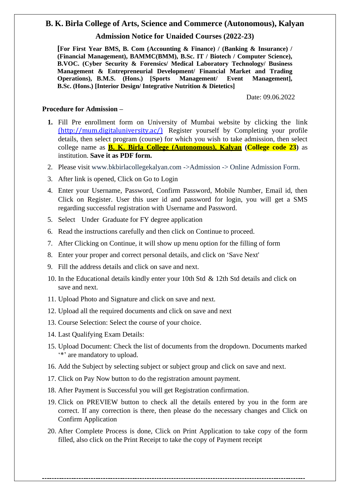## **B. K. Birla College of Arts, Science and Commerce (Autonomous), Kalyan**

#### **Admission Notice for Unaided Courses (2022-23)**

**[For First Year BMS, B. Com (Accounting & Finance) / (Banking & Insurance) / (Financial Management), BAMMC(BMM), B.Sc. IT / Biotech / Computer Science), B.VOC. (Cyber Security & Forensics/ Medical Laboratory Technology/ Business Management & Entrepreneurial Development/ Financial Market and Trading Operations), B.M.S. (Hons.) [Sports Management/ Event Management], B.Sc. (Hons.) [Interior Design/ Integrative Nutrition & Dietetics]**

Date: 09.06.2022

#### **Procedure for Admission –**

- **1.** Fill Pre enrollment form on University of Mumbai website by clicking the link [\(http://mum.digitaluniversity.ac/\)](http://mum.digitaluniversity.ac/) Register yourself by Completing your profile details, then select program (course) for which you wish to take admission, then select college name as **B. K. Birla College (Autonomous), Kalyan (College code 23)** as institution. **Save it as PDF form.**
- 2. Please visit [www.bkbirlacollegekalyan.com](http://www.bkbirlacollegekalyan.com-/) ->Admission -> Online Admission Form.
- 3. After link is opened, Click on Go to Login
- 4. Enter your Username, Password, Confirm Password, Mobile Number, Email id, then Click on Register. User this user id and password for login, you will get a SMS regarding successful registration with Username and Password.
- 5. Select Under Graduate for FY degree application
- 6. Read the instructions carefully and then click on Continue to proceed.
- 7. After Clicking on Continue, it will show up menu option for the filling of form
- 8. Enter your proper and correct personal details, and click on 'Save Next'
- 9. Fill the address details and click on save and next.
- 10. In the Educational details kindly enter your 10th Std & 12th Std details and click on save and next.
- 11. Upload Photo and Signature and click on save and next.
- 12. Upload all the required documents and click on save and next
- 13. Course Selection: Select the course of your choice.
- 14. Last Qualifying Exam Details:
- 15. Upload Document: Check the list of documents from the dropdown. Documents marked '\*' are mandatory to upload.
- 16. Add the Subject by selecting subject or subject group and click on save and next.
- 17. Click on Pay Now button to do the registration amount payment.
- 18. After Payment is Successful you will get Registration confirmation.
- 19. Click on PREVIEW button to check all the details entered by you in the form are correct. If any correction is there, then please do the necessary changes and Click on Confirm Application
- 20. After Complete Process is done, Click on Print Application to take copy of the form filled, also click on the Print Receipt to take the copy of Payment receipt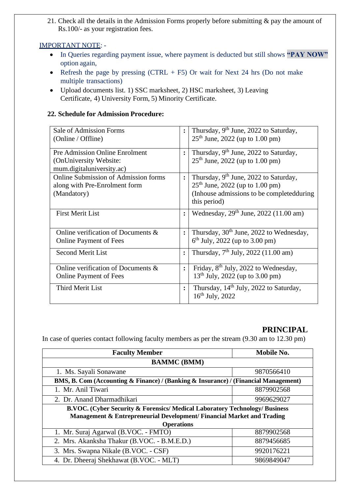21. Check all the details in the Admission Forms properly before submitting & pay the amount of Rs.100/- as your registration fees.

### IMPORTANT NOTE: -

- In Queries regarding payment issue, where payment is deducted but still shows **"PAY NOW"** option again,
- Refresh the page by pressing  $(CTRL + F5)$  Or wait for Next 24 hrs (Do not make multiple transactions)
- Upload documents list. 1) SSC marksheet, 2) HSC marksheet, 3) Leaving Certificate, 4) University Form, 5) Minority Certificate.

#### **22. Schedule for Admission Procedure:**

| Sale of Admission Forms                     | $\ddot{\cdot}$ | Thursday, 9 <sup>th</sup> June, 2022 to Saturday,   |
|---------------------------------------------|----------------|-----------------------------------------------------|
| (Online / Offline)                          |                | $25th$ June, 2022 (up to 1.00 pm)                   |
|                                             |                |                                                     |
| <b>Pre Admission Online Enrolment</b>       | $\ddot{\cdot}$ | Thursday, 9 <sup>th</sup> June, 2022 to Saturday,   |
| (OnUniversity Website:                      |                | $25th$ June, 2022 (up to 1.00 pm)                   |
| mum.digitaluniversity.ac)                   |                |                                                     |
| <b>Online Submission of Admission forms</b> | $\ddot{\cdot}$ | Thursday, 9 <sup>th</sup> June, 2022 to Saturday,   |
| along with Pre-Enrolment form               |                | $25th$ June, 2022 (up to 1.00 pm)                   |
| (Mandatory)                                 |                | (Inhouse admissions to be completed during)         |
|                                             |                | this period)                                        |
| <b>First Merit List</b>                     | $\ddot{\cdot}$ | Wednesday, $29th$ June, $2022$ (11.00 am)           |
|                                             |                |                                                     |
| Online verification of Documents &          | $\ddot{\cdot}$ | Thursday, 30 <sup>th</sup> June, 2022 to Wednesday, |
| <b>Online Payment of Fees</b>               |                | $6th$ July, 2022 (up to 3.00 pm)                    |
| <b>Second Merit List</b>                    | $\ddot{\cdot}$ | Thursday, $7th$ July, 2022 (11.00 am)               |
|                                             |                |                                                     |
| Online verification of Documents &          | $\ddot{\cdot}$ | Friday, 8 <sup>th</sup> July, 2022 to Wednesday,    |
| <b>Online Payment of Fees</b>               |                | $13th$ July, 2022 (up to 3.00 pm)                   |
| <b>Third Merit List</b>                     | $\ddot{\cdot}$ | Thursday, 14 <sup>th</sup> July, 2022 to Saturday,  |
|                                             |                | $16^{th}$ July, 2022                                |
|                                             |                |                                                     |

# **PRINCIPAL**

In case of queries contact following faculty members as per the stream (9.30 am to 12.30 pm)

| <b>Faculty Member</b>                                                                | Mobile No. |  |  |
|--------------------------------------------------------------------------------------|------------|--|--|
| <b>BAMMC</b> (BMM)                                                                   |            |  |  |
| 1. Ms. Sayali Sonawane                                                               | 9870566410 |  |  |
| BMS, B. Com (Accounting & Finance) / (Banking & Insurance) / (Financial Management)  |            |  |  |
| 1. Mr. Anil Tiwari                                                                   | 8879902568 |  |  |
| 2. Dr. Anand Dharmadhikari                                                           | 9969629027 |  |  |
| <b>B.VOC. (Cyber Security &amp; Forensics/Medical Laboratory Technology/Business</b> |            |  |  |
| Management & Entrepreneurial Development/ Financial Market and Trading               |            |  |  |
| <b>Operations</b>                                                                    |            |  |  |
| 1. Mr. Suraj Agarwal (B.VOC. - FMTO)                                                 | 8879902568 |  |  |
| 2. Mrs. Akanksha Thakur (B.VOC. - B.M.E.D.)                                          | 8879456685 |  |  |
| 3. Mrs. Swapna Nikale (B.VOC. - CSF)                                                 | 9920176221 |  |  |
| 4. Dr. Dheeraj Shekhawat (B.VOC. - MLT)                                              | 9869849047 |  |  |